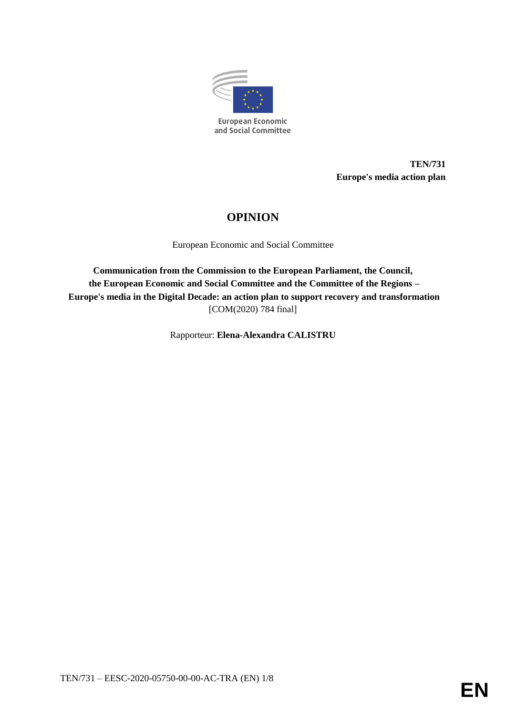

**TEN/731 Europe's media action plan**

# **OPINION**

European Economic and Social Committee

**Communication from the Commission to the European Parliament, the Council, the European Economic and Social Committee and the Committee of the Regions – Europe's media in the Digital Decade: an action plan to support recovery and transformation**  [COM(2020) 784 final]

Rapporteur: **Elena-Alexandra CALISTRU**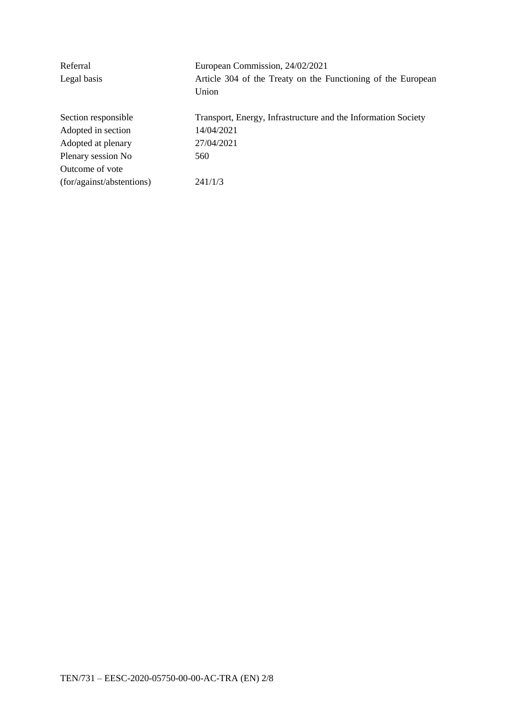| Referral                  | European Commission, 24/02/2021                               |
|---------------------------|---------------------------------------------------------------|
| Legal basis               | Article 304 of the Treaty on the Functioning of the European  |
|                           | Union                                                         |
| Section responsible       | Transport, Energy, Infrastructure and the Information Society |
| Adopted in section        | 14/04/2021                                                    |
| Adopted at plenary        | 27/04/2021                                                    |
| Plenary session No        | 560                                                           |
| Outcome of vote           |                                                               |
| (for/against/abstentions) | 241/1/3                                                       |
|                           |                                                               |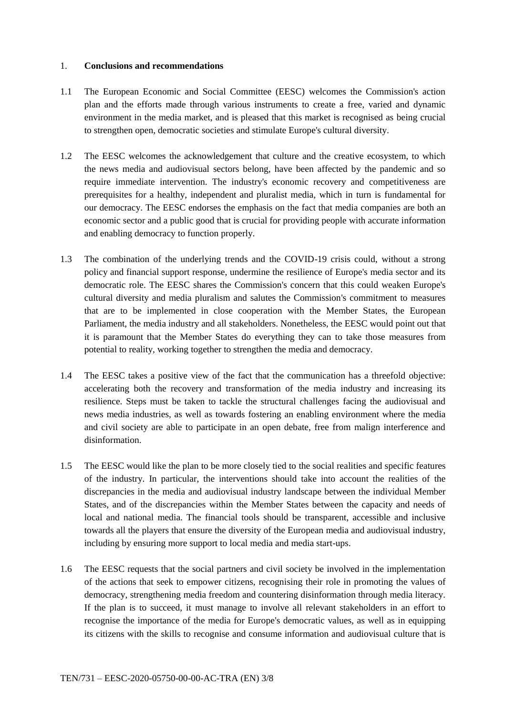#### 1. **Conclusions and recommendations**

- 1.1 The European Economic and Social Committee (EESC) welcomes the Commission's action plan and the efforts made through various instruments to create a free, varied and dynamic environment in the media market, and is pleased that this market is recognised as being crucial to strengthen open, democratic societies and stimulate Europe's cultural diversity.
- 1.2 The EESC welcomes the acknowledgement that culture and the creative ecosystem, to which the news media and audiovisual sectors belong, have been affected by the pandemic and so require immediate intervention. The industry's economic recovery and competitiveness are prerequisites for a healthy, independent and pluralist media, which in turn is fundamental for our democracy. The EESC endorses the emphasis on the fact that media companies are both an economic sector and a public good that is crucial for providing people with accurate information and enabling democracy to function properly.
- 1.3 The combination of the underlying trends and the COVID-19 crisis could, without a strong policy and financial support response, undermine the resilience of Europe's media sector and its democratic role. The EESC shares the Commission's concern that this could weaken Europe's cultural diversity and media pluralism and salutes the Commission's commitment to measures that are to be implemented in close cooperation with the Member States, the European Parliament, the media industry and all stakeholders. Nonetheless, the EESC would point out that it is paramount that the Member States do everything they can to take those measures from potential to reality, working together to strengthen the media and democracy.
- 1.4 The EESC takes a positive view of the fact that the communication has a threefold objective: accelerating both the recovery and transformation of the media industry and increasing its resilience. Steps must be taken to tackle the structural challenges facing the audiovisual and news media industries, as well as towards fostering an enabling environment where the media and civil society are able to participate in an open debate, free from malign interference and disinformation.
- 1.5 The EESC would like the plan to be more closely tied to the social realities and specific features of the industry. In particular, the interventions should take into account the realities of the discrepancies in the media and audiovisual industry landscape between the individual Member States, and of the discrepancies within the Member States between the capacity and needs of local and national media. The financial tools should be transparent, accessible and inclusive towards all the players that ensure the diversity of the European media and audiovisual industry, including by ensuring more support to local media and media start-ups.
- 1.6 The EESC requests that the social partners and civil society be involved in the implementation of the actions that seek to empower citizens, recognising their role in promoting the values of democracy, strengthening media freedom and countering disinformation through media literacy. If the plan is to succeed, it must manage to involve all relevant stakeholders in an effort to recognise the importance of the media for Europe's democratic values, as well as in equipping its citizens with the skills to recognise and consume information and audiovisual culture that is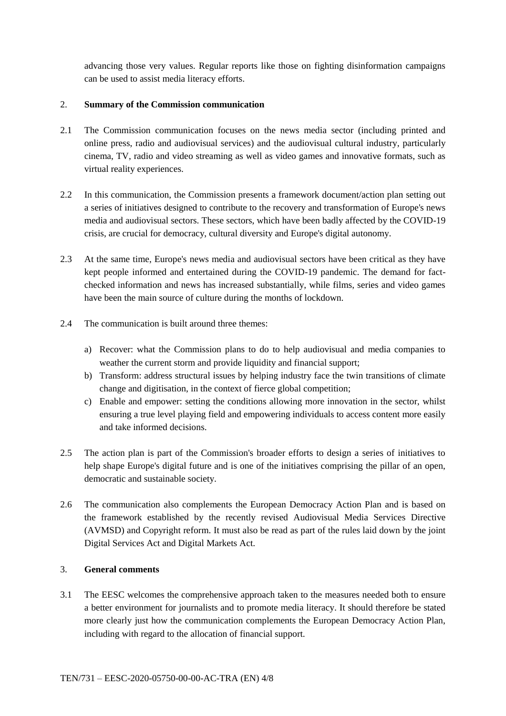advancing those very values. Regular reports like those on fighting disinformation campaigns can be used to assist media literacy efforts.

## 2. **Summary of the Commission communication**

- 2.1 The Commission communication focuses on the news media sector (including printed and online press, radio and audiovisual services) and the audiovisual cultural industry, particularly cinema, TV, radio and video streaming as well as video games and innovative formats, such as virtual reality experiences.
- 2.2 In this communication, the Commission presents a framework document/action plan setting out a series of initiatives designed to contribute to the recovery and transformation of Europe's news media and audiovisual sectors. These sectors, which have been badly affected by the COVID-19 crisis, are crucial for democracy, cultural diversity and Europe's digital autonomy.
- 2.3 At the same time, Europe's news media and audiovisual sectors have been critical as they have kept people informed and entertained during the COVID-19 pandemic. The demand for factchecked information and news has increased substantially, while films, series and video games have been the main source of culture during the months of lockdown.
- 2.4 The communication is built around three themes:
	- a) Recover: what the Commission plans to do to help audiovisual and media companies to weather the current storm and provide liquidity and financial support;
	- b) Transform: address structural issues by helping industry face the twin transitions of climate change and digitisation, in the context of fierce global competition;
	- c) Enable and empower: setting the conditions allowing more innovation in the sector, whilst ensuring a true level playing field and empowering individuals to access content more easily and take informed decisions.
- 2.5 The action plan is part of the Commission's broader efforts to design a series of initiatives to help shape Europe's digital future and is one of the initiatives comprising the pillar of an open, democratic and sustainable society.
- 2.6 The communication also complements the European Democracy Action Plan and is based on the framework established by the recently revised Audiovisual Media Services Directive (AVMSD) and Copyright reform. It must also be read as part of the rules laid down by the joint Digital Services Act and Digital Markets Act.

### 3. **General comments**

3.1 The EESC welcomes the comprehensive approach taken to the measures needed both to ensure a better environment for journalists and to promote media literacy. It should therefore be stated more clearly just how the communication complements the European Democracy Action Plan, including with regard to the allocation of financial support.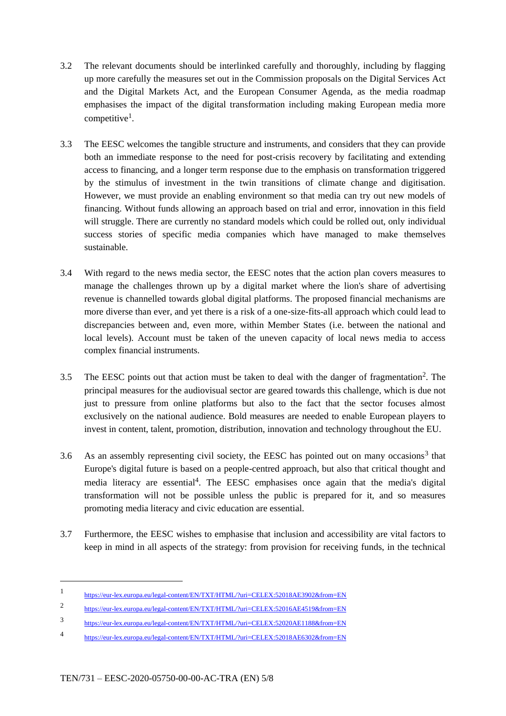- 3.2 The relevant documents should be interlinked carefully and thoroughly, including by flagging up more carefully the measures set out in the Commission proposals on the Digital Services Act and the Digital Markets Act, and the European Consumer Agenda, as the media roadmap emphasises the impact of the digital transformation including making European media more competitive<sup>1</sup>.
- 3.3 The EESC welcomes the tangible structure and instruments, and considers that they can provide both an immediate response to the need for post-crisis recovery by facilitating and extending access to financing, and a longer term response due to the emphasis on transformation triggered by the stimulus of investment in the twin transitions of climate change and digitisation. However, we must provide an enabling environment so that media can try out new models of financing. Without funds allowing an approach based on trial and error, innovation in this field will struggle. There are currently no standard models which could be rolled out, only individual success stories of specific media companies which have managed to make themselves sustainable.
- 3.4 With regard to the news media sector, the EESC notes that the action plan covers measures to manage the challenges thrown up by a digital market where the lion's share of advertising revenue is channelled towards global digital platforms. The proposed financial mechanisms are more diverse than ever, and yet there is a risk of a one-size-fits-all approach which could lead to discrepancies between and, even more, within Member States (i.e. between the national and local levels). Account must be taken of the uneven capacity of local news media to access complex financial instruments.
- 3.5 The EESC points out that action must be taken to deal with the danger of fragmentation<sup>2</sup>. The principal measures for the audiovisual sector are geared towards this challenge, which is due not just to pressure from online platforms but also to the fact that the sector focuses almost exclusively on the national audience. Bold measures are needed to enable European players to invest in content, talent, promotion, distribution, innovation and technology throughout the EU.
- 3.6 As an assembly representing civil society, the EESC has pointed out on many occasions<sup>3</sup> that Europe's digital future is based on a people-centred approach, but also that critical thought and media literacy are essential<sup>4</sup>. The EESC emphasises once again that the media's digital transformation will not be possible unless the public is prepared for it, and so measures promoting media literacy and civic education are essential.
- 3.7 Furthermore, the EESC wishes to emphasise that inclusion and accessibility are vital factors to keep in mind in all aspects of the strategy: from provision for receiving funds, in the technical

-

<sup>1</sup> https://eur-lex.europa.eu/legal-content/EN/TXT/HTML/?uri=CELEX:52018AE3902&from=EN

<sup>2</sup> https://eur-lex.europa.eu/legal-content/EN/TXT/HTML/?uri=CELEX:52016AE4519&from=EN

<sup>3</sup> https://eur-lex.europa.eu/legal-content/EN/TXT/HTML/?uri=CELEX:52020AE1188&from=EN

<sup>4</sup> https://eur-lex.europa.eu/legal-content/EN/TXT/HTML/?uri=CELEX:52018AE6302&from=EN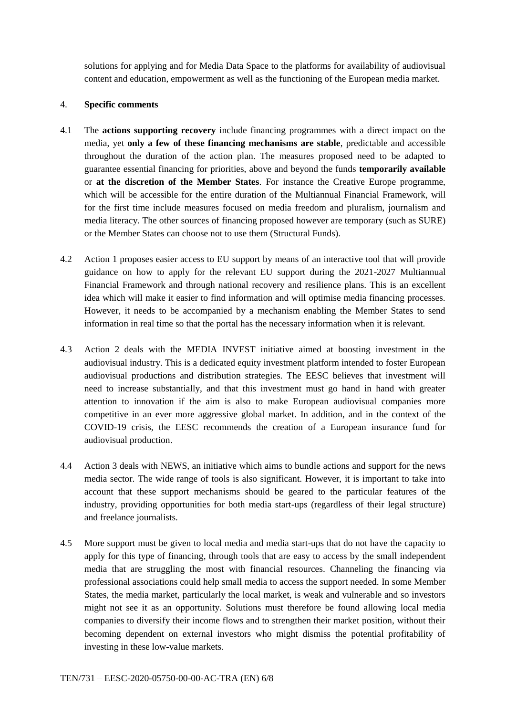solutions for applying and for Media Data Space to the platforms for availability of audiovisual content and education, empowerment as well as the functioning of the European media market.

#### 4. **Specific comments**

- 4.1 The **actions supporting recovery** include financing programmes with a direct impact on the media, yet **only a few of these financing mechanisms are stable**, predictable and accessible throughout the duration of the action plan. The measures proposed need to be adapted to guarantee essential financing for priorities, above and beyond the funds **temporarily available** or **at the discretion of the Member States**. For instance the Creative Europe programme, which will be accessible for the entire duration of the Multiannual Financial Framework, will for the first time include measures focused on media freedom and pluralism, journalism and media literacy. The other sources of financing proposed however are temporary (such as SURE) or the Member States can choose not to use them (Structural Funds).
- 4.2 Action 1 proposes easier access to EU support by means of an interactive tool that will provide guidance on how to apply for the relevant EU support during the 2021-2027 Multiannual Financial Framework and through national recovery and resilience plans. This is an excellent idea which will make it easier to find information and will optimise media financing processes. However, it needs to be accompanied by a mechanism enabling the Member States to send information in real time so that the portal has the necessary information when it is relevant.
- 4.3 Action 2 deals with the MEDIA INVEST initiative aimed at boosting investment in the audiovisual industry. This is a dedicated equity investment platform intended to foster European audiovisual productions and distribution strategies. The EESC believes that investment will need to increase substantially, and that this investment must go hand in hand with greater attention to innovation if the aim is also to make European audiovisual companies more competitive in an ever more aggressive global market. In addition, and in the context of the COVID-19 crisis, the EESC recommends the creation of a European insurance fund for audiovisual production.
- 4.4 Action 3 deals with NEWS, an initiative which aims to bundle actions and support for the news media sector. The wide range of tools is also significant. However, it is important to take into account that these support mechanisms should be geared to the particular features of the industry, providing opportunities for both media start-ups (regardless of their legal structure) and freelance journalists.
- 4.5 More support must be given to local media and media start-ups that do not have the capacity to apply for this type of financing, through tools that are easy to access by the small independent media that are struggling the most with financial resources. Channeling the financing via professional associations could help small media to access the support needed. In some Member States, the media market, particularly the local market, is weak and vulnerable and so investors might not see it as an opportunity. Solutions must therefore be found allowing local media companies to diversify their income flows and to strengthen their market position, without their becoming dependent on external investors who might dismiss the potential profitability of investing in these low-value markets.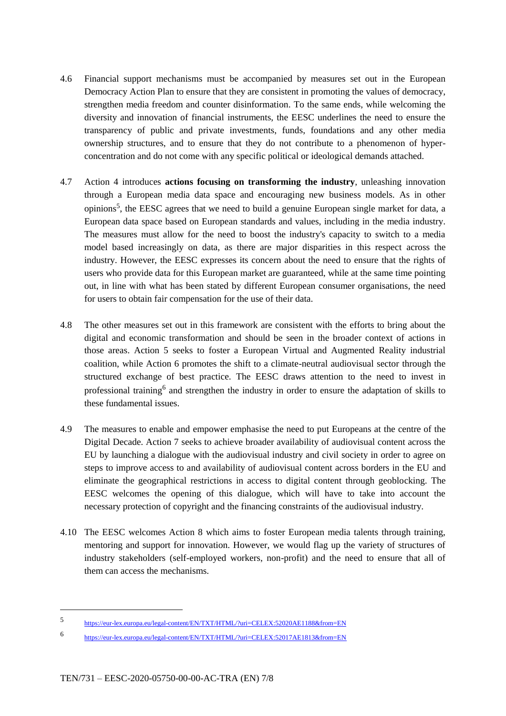- 4.6 Financial support mechanisms must be accompanied by measures set out in the European Democracy Action Plan to ensure that they are consistent in promoting the values of democracy, strengthen media freedom and counter disinformation. To the same ends, while welcoming the diversity and innovation of financial instruments, the EESC underlines the need to ensure the transparency of public and private investments, funds, foundations and any other media ownership structures, and to ensure that they do not contribute to a phenomenon of hyperconcentration and do not come with any specific political or ideological demands attached.
- 4.7 Action 4 introduces **actions focusing on transforming the industry**, unleashing innovation through a European media data space and encouraging new business models. As in other opinions<sup>5</sup>, the EESC agrees that we need to build a genuine European single market for data, a European data space based on European standards and values, including in the media industry. The measures must allow for the need to boost the industry's capacity to switch to a media model based increasingly on data, as there are major disparities in this respect across the industry. However, the EESC expresses its concern about the need to ensure that the rights of users who provide data for this European market are guaranteed, while at the same time pointing out, in line with what has been stated by different European consumer organisations, the need for users to obtain fair compensation for the use of their data.
- 4.8 The other measures set out in this framework are consistent with the efforts to bring about the digital and economic transformation and should be seen in the broader context of actions in those areas. Action 5 seeks to foster a European Virtual and Augmented Reality industrial coalition, while Action 6 promotes the shift to a climate-neutral audiovisual sector through the structured exchange of best practice. The EESC draws attention to the need to invest in professional training<sup>6</sup> and strengthen the industry in order to ensure the adaptation of skills to these fundamental issues.
- 4.9 The measures to enable and empower emphasise the need to put Europeans at the centre of the Digital Decade. Action 7 seeks to achieve broader availability of audiovisual content across the EU by launching a dialogue with the audiovisual industry and civil society in order to agree on steps to improve access to and availability of audiovisual content across borders in the EU and eliminate the geographical restrictions in access to digital content through geoblocking. The EESC welcomes the opening of this dialogue, which will have to take into account the necessary protection of copyright and the financing constraints of the audiovisual industry.
- 4.10 The EESC welcomes Action 8 which aims to foster European media talents through training, mentoring and support for innovation. However, we would flag up the variety of structures of industry stakeholders (self-employed workers, non-profit) and the need to ensure that all of them can access the mechanisms.

1

<sup>5</sup> https://eur-lex.europa.eu/legal-content/EN/TXT/HTML/?uri=CELEX:52020AE1188&from=EN

<sup>6</sup> https://eur-lex.europa.eu/legal-content/EN/TXT/HTML/?uri=CELEX:52017AE1813&from=EN